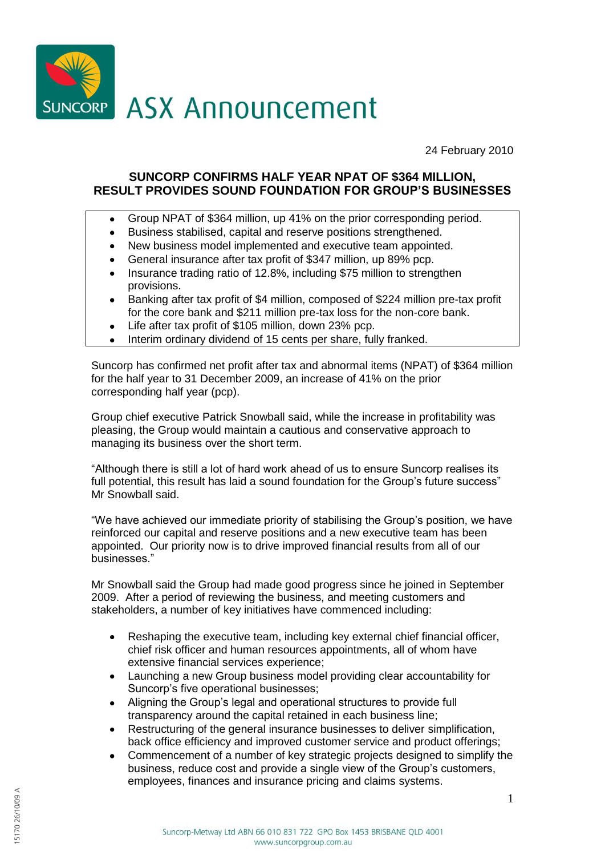

24 February 2010

# **SUNCORP CONFIRMS HALF YEAR NPAT OF \$364 MILLION, RESULT PROVIDES SOUND FOUNDATION FOR GROUP'S BUSINESSES**

- Group NPAT of \$364 million, up 41% on the prior corresponding period.  $\bullet$
- Business stabilised, capital and reserve positions strengthened.  $\bullet$
- New business model implemented and executive team appointed.  $\bullet$
- General insurance after tax profit of \$347 million, up 89% pcp.
- Insurance trading ratio of 12.8%, including \$75 million to strengthen provisions.
- Banking after tax profit of \$4 million, composed of \$224 million pre-tax profit  $\bullet$ for the core bank and \$211 million pre-tax loss for the non-core bank.
- Life after tax profit of \$105 million, down 23% pcp.  $\bullet$
- Interim ordinary dividend of 15 cents per share, fully franked.

Suncorp has confirmed net profit after tax and abnormal items (NPAT) of \$364 million for the half year to 31 December 2009, an increase of 41% on the prior corresponding half year (pcp).

Group chief executive Patrick Snowball said, while the increase in profitability was pleasing, the Group would maintain a cautious and conservative approach to managing its business over the short term.

"Although there is still a lot of hard work ahead of us to ensure Suncorp realises its full potential, this result has laid a sound foundation for the Group's future success" Mr Snowball said.

"We have achieved our immediate priority of stabilising the Group's position, we have reinforced our capital and reserve positions and a new executive team has been appointed. Our priority now is to drive improved financial results from all of our businesses."

Mr Snowball said the Group had made good progress since he joined in September 2009. After a period of reviewing the business, and meeting customers and stakeholders, a number of key initiatives have commenced including:

- Reshaping the executive team, including key external chief financial officer,  $\bullet$ chief risk officer and human resources appointments, all of whom have extensive financial services experience;
- Launching a new Group business model providing clear accountability for  $\bullet$ Suncorp's five operational businesses;
- Aligning the Group's legal and operational structures to provide full  $\bullet$ transparency around the capital retained in each business line;
- Restructuring of the general insurance businesses to deliver simplification,  $\bullet$ back office efficiency and improved customer service and product offerings;
- Commencement of a number of key strategic projects designed to simplify the  $\bullet$ business, reduce cost and provide a single view of the Group's customers, employees, finances and insurance pricing and claims systems.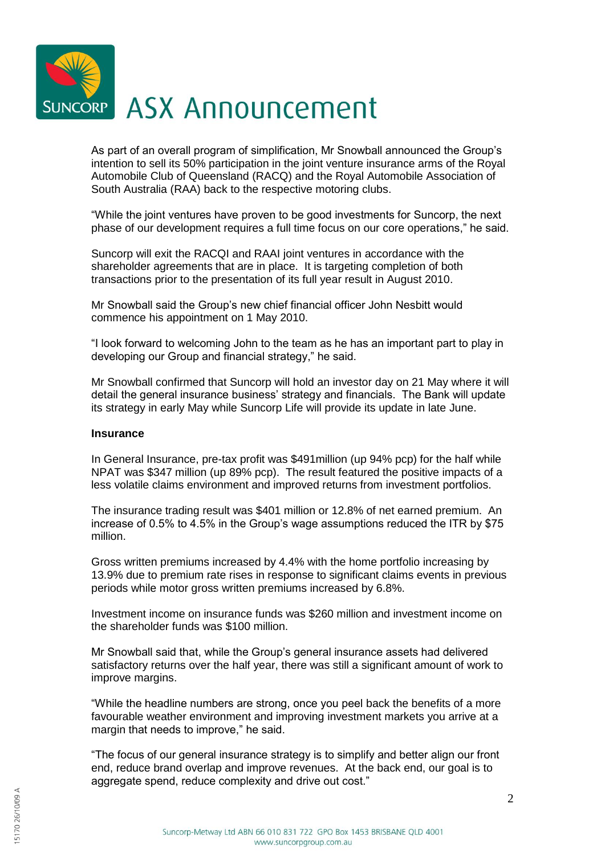

As part of an overall program of simplification, Mr Snowball announced the Group's intention to sell its 50% participation in the joint venture insurance arms of the Royal Automobile Club of Queensland (RACQ) and the Royal Automobile Association of South Australia (RAA) back to the respective motoring clubs.

"While the joint ventures have proven to be good investments for Suncorp, the next phase of our development requires a full time focus on our core operations," he said.

Suncorp will exit the RACQI and RAAI joint ventures in accordance with the shareholder agreements that are in place. It is targeting completion of both transactions prior to the presentation of its full year result in August 2010.

Mr Snowball said the Group's new chief financial officer John Nesbitt would commence his appointment on 1 May 2010.

"I look forward to welcoming John to the team as he has an important part to play in developing our Group and financial strategy," he said.

Mr Snowball confirmed that Suncorp will hold an investor day on 21 May where it will detail the general insurance business' strategy and financials. The Bank will update its strategy in early May while Suncorp Life will provide its update in late June.

#### **Insurance**

In General Insurance, pre-tax profit was \$491million (up 94% pcp) for the half while NPAT was \$347 million (up 89% pcp). The result featured the positive impacts of a less volatile claims environment and improved returns from investment portfolios.

The insurance trading result was \$401 million or 12.8% of net earned premium. An increase of 0.5% to 4.5% in the Group's wage assumptions reduced the ITR by \$75 million.

Gross written premiums increased by 4.4% with the home portfolio increasing by 13.9% due to premium rate rises in response to significant claims events in previous periods while motor gross written premiums increased by 6.8%.

Investment income on insurance funds was \$260 million and investment income on the shareholder funds was \$100 million.

Mr Snowball said that, while the Group's general insurance assets had delivered satisfactory returns over the half year, there was still a significant amount of work to improve margins.

"While the headline numbers are strong, once you peel back the benefits of a more favourable weather environment and improving investment markets you arrive at a margin that needs to improve," he said.

"The focus of our general insurance strategy is to simplify and better align our front end, reduce brand overlap and improve revenues. At the back end, our goal is to aggregate spend, reduce complexity and drive out cost."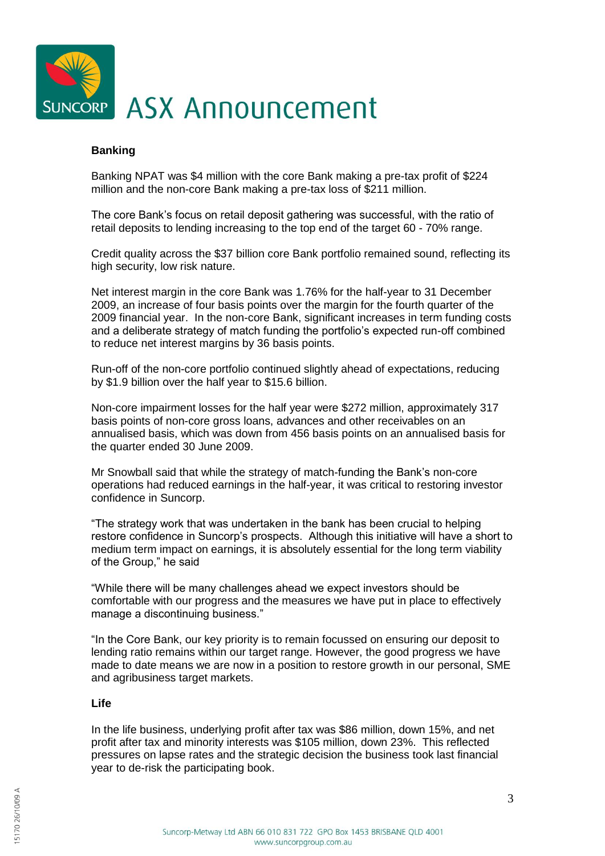

## **Banking**

Banking NPAT was \$4 million with the core Bank making a pre-tax profit of \$224 million and the non-core Bank making a pre-tax loss of \$211 million.

The core Bank's focus on retail deposit gathering was successful, with the ratio of retail deposits to lending increasing to the top end of the target 60 - 70% range.

Credit quality across the \$37 billion core Bank portfolio remained sound, reflecting its high security, low risk nature.

Net interest margin in the core Bank was 1.76% for the half-year to 31 December 2009, an increase of four basis points over the margin for the fourth quarter of the 2009 financial year. In the non-core Bank, significant increases in term funding costs and a deliberate strategy of match funding the portfolio's expected run-off combined to reduce net interest margins by 36 basis points.

Run-off of the non-core portfolio continued slightly ahead of expectations, reducing by \$1.9 billion over the half year to \$15.6 billion.

Non-core impairment losses for the half year were \$272 million, approximately 317 basis points of non-core gross loans, advances and other receivables on an annualised basis, which was down from 456 basis points on an annualised basis for the quarter ended 30 June 2009.

Mr Snowball said that while the strategy of match-funding the Bank's non-core operations had reduced earnings in the half-year, it was critical to restoring investor confidence in Suncorp.

"The strategy work that was undertaken in the bank has been crucial to helping restore confidence in Suncorp's prospects. Although this initiative will have a short to medium term impact on earnings, it is absolutely essential for the long term viability of the Group," he said

"While there will be many challenges ahead we expect investors should be comfortable with our progress and the measures we have put in place to effectively manage a discontinuing business."

"In the Core Bank, our key priority is to remain focussed on ensuring our deposit to lending ratio remains within our target range. However, the good progress we have made to date means we are now in a position to restore growth in our personal, SME and agribusiness target markets.

## **Life**

In the life business, underlying profit after tax was \$86 million, down 15%, and net profit after tax and minority interests was \$105 million, down 23%. This reflected pressures on lapse rates and the strategic decision the business took last financial year to de-risk the participating book.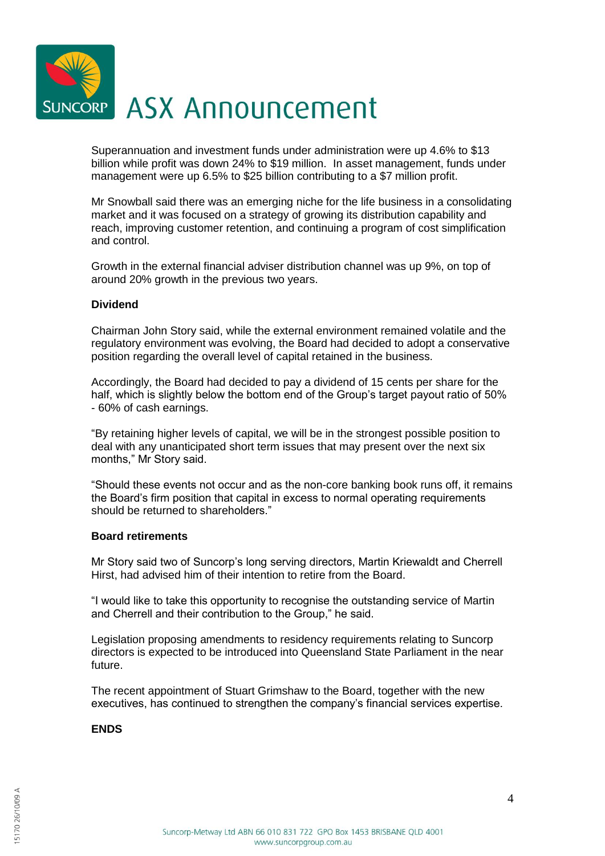

Superannuation and investment funds under administration were up 4.6% to \$13 billion while profit was down 24% to \$19 million. In asset management, funds under management were up 6.5% to \$25 billion contributing to a \$7 million profit.

Mr Snowball said there was an emerging niche for the life business in a consolidating market and it was focused on a strategy of growing its distribution capability and reach, improving customer retention, and continuing a program of cost simplification and control.

Growth in the external financial adviser distribution channel was up 9%, on top of around 20% growth in the previous two years.

## **Dividend**

Chairman John Story said, while the external environment remained volatile and the regulatory environment was evolving, the Board had decided to adopt a conservative position regarding the overall level of capital retained in the business.

Accordingly, the Board had decided to pay a dividend of 15 cents per share for the half, which is slightly below the bottom end of the Group's target payout ratio of 50% - 60% of cash earnings.

"By retaining higher levels of capital, we will be in the strongest possible position to deal with any unanticipated short term issues that may present over the next six months," Mr Story said.

"Should these events not occur and as the non-core banking book runs off, it remains the Board's firm position that capital in excess to normal operating requirements should be returned to shareholders."

## **Board retirements**

Mr Story said two of Suncorp's long serving directors, Martin Kriewaldt and Cherrell Hirst, had advised him of their intention to retire from the Board.

"I would like to take this opportunity to recognise the outstanding service of Martin and Cherrell and their contribution to the Group," he said.

Legislation proposing amendments to residency requirements relating to Suncorp directors is expected to be introduced into Queensland State Parliament in the near future.

The recent appointment of Stuart Grimshaw to the Board, together with the new executives, has continued to strengthen the company's financial services expertise.

## **ENDS**